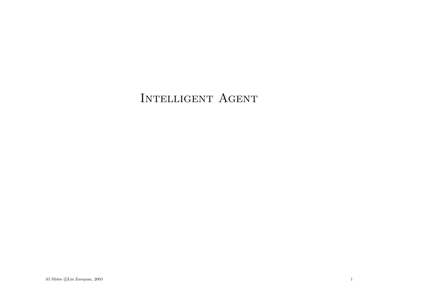## INTELLIGENT AGENT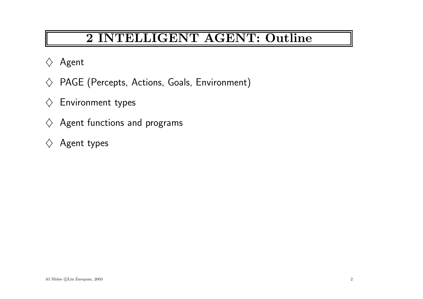## 2 INTELLIGENT AGENT: Outline

- $\Diamond$  Agent
- $\diamondsuit$  PAGE (Percepts, Actions, Goals, Environment)
- $\diamondsuit$  Environment types
- $\diamondsuit$  Agent functions and programs
- $\diamondsuit$  Agent types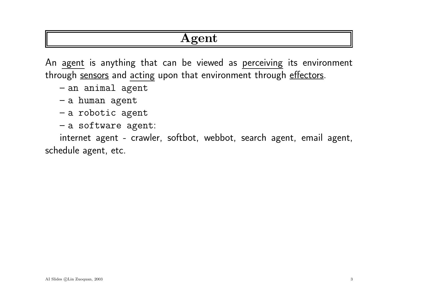### Agent

An agen<sup>t</sup> is anything that can be viewed as perceiving its environment through sensors and acting upon that environment through effectors.

– an animal agen<sup>t</sup>

- <sup>a</sup> human agen<sup>t</sup>
- <sup>a</sup> robotic agen<sup>t</sup>
- <sup>a</sup> software agent:

internet agen<sup>t</sup> - crawler, softbot, webbot, search agent, email agent, schedule agent, etc.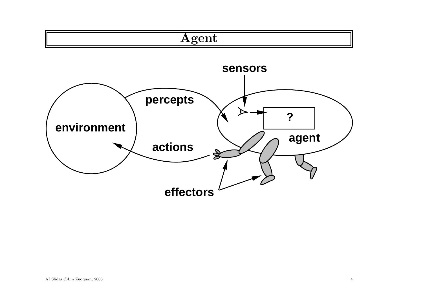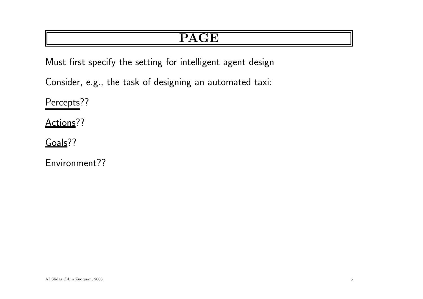## PAGE

Must first specify the setting for intelligent agen<sup>t</sup> design

Consider, e.g., the task of designing an automated taxi:

Percepts??

Actions??

Goals??

Environment??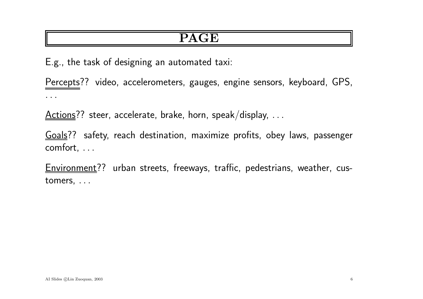### PAGE

E.g., the task of designing an automated taxi:

Percepts?? video, accelerometers, gauges, engine sensors, keyboard, GPS, . . .

 $Actions?$  steer, accelerate, brake, horn, speak/display,  $\dots$ </u>

Goals?? safety, reach destination, maximize profits, obey laws, passenger comfort, . . .

Environment?? urban streets, freeways, traffic, pedestrians, weather, customers, . . .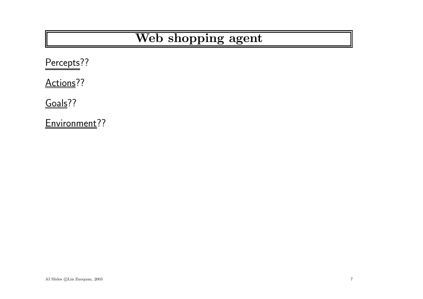## Web shopping agent

Percepts??

Actions<sup>??</sup>

Goals??

Environment??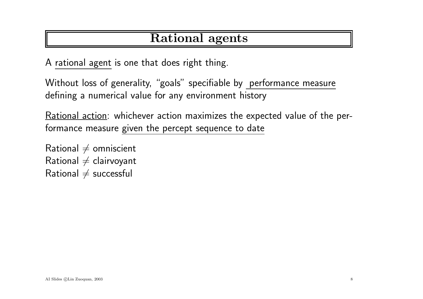### Rational agents

A rational agen<sup>t</sup> is one that does right thing.

Without loss of generality, "goals" specifiable by performance measure defining <sup>a</sup> numerical value for any environment history

Rational action: whichever action maximizes the expected value of the performance measure given the percept sequence to date

Rational  $\neq$  omniscient Rational  $\neq$  clairvoyant Rational  $\neq$  successful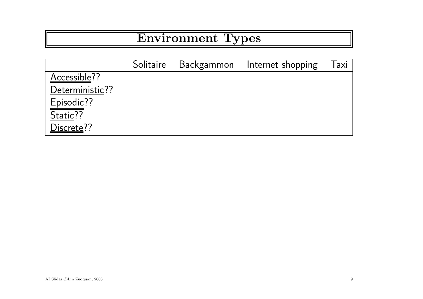# Environment Types

|                 | Solitaire Backgammon | Internet shopping | laxi |
|-----------------|----------------------|-------------------|------|
| Accessible??    |                      |                   |      |
| Deterministic?? |                      |                   |      |
| Episodic??      |                      |                   |      |
| Static??        |                      |                   |      |
| Discrete??      |                      |                   |      |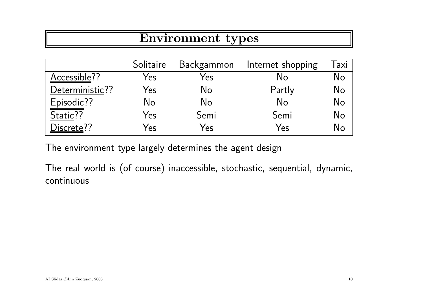## Environment types

|                 | Solitaire | Backgammon | Internet shopping | <b>axi</b> |
|-----------------|-----------|------------|-------------------|------------|
| Accessible??    | Yes       | Yes        | No                | No         |
| Deterministic?? | Yes       | No         | Partly            | No         |
| Episodic??      | No        | No         | No                | No         |
| Static??        | Yes       | Semi       | Semi              | No         |
| Discrete??      | Yes       | Yes        | Yes               | N۵         |

The environment type largely determines the agen<sup>t</sup> design

The real world is (of course) inaccessible, stochastic, sequential, dynamic, continuous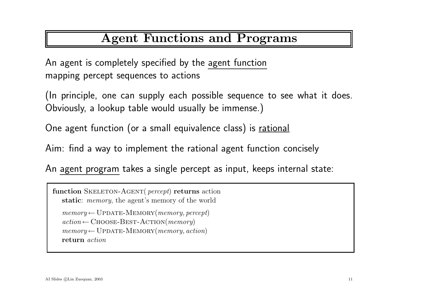## Agent Functions and Programs

An agen<sup>t</sup> is completely specified by the agen<sup>t</sup> function mapping percept sequences to actions

(In principle, one can supply each possible sequence to see what it does. Obviously, <sup>a</sup> lookup table would usually be immense.)

One agen<sup>t</sup> function (or <sup>a</sup> small equivalence class) is rational

Aim: find <sup>a</sup> way to implement the rational agen<sup>t</sup> function concisely

An agen<sup>t</sup> program takes <sup>a</sup> single percept as input, keeps internal state:

function SKELETON-AGENT(  $percept$ ) returns action static: memory, the agent's memory of the world  $memory \leftarrow \text{UPDATE-MEMORY}(\textit{memory}, \textit{percept})$  $action \leftarrow \text{Choose-BEST-ACTION}(memory)$  $memory \leftarrow \text{UPDATE-MEMORY}(memory, action)$ return action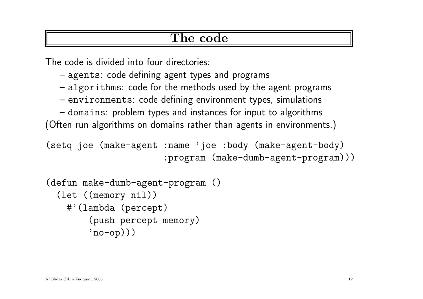#### The code

The code is divided into four directories:

- agents: code defining agen<sup>t</sup> types and programs
- algorithms: code for the methods used by the agen<sup>t</sup> programs
- environments: code defining environment types, simulations
- domains: problem types and instances for input to algorithms

(Often run algorithms on domains rather than agents in environments.)

```
(setq joe (make-agent :name 'joe :body (make-agent-body)
                     :program (make-dumb-agent-program)))
```

```
(defun make-dumb-agent-program ()
(let ((memory nil))
  #'(lambda (percept)
       (push percept memory)
       'no-op))
```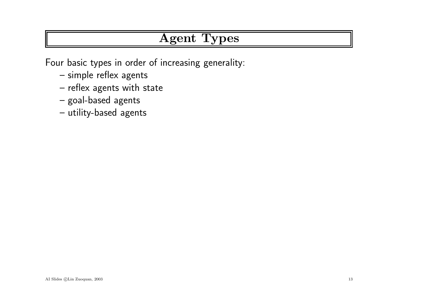## Agent Types

Four basic types in order of increasing generality:

- $\hbox{--}$  simple reflex agents
- $\hbox{--}$  reflex agents with state
- goal-based agents
- utility-based agents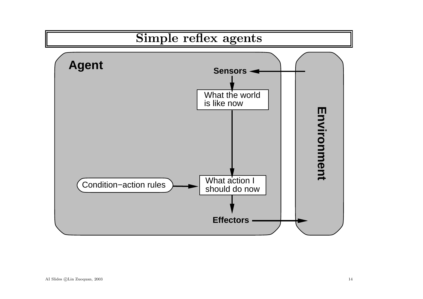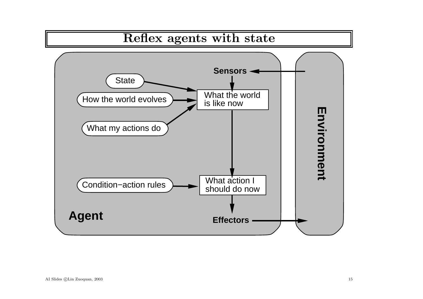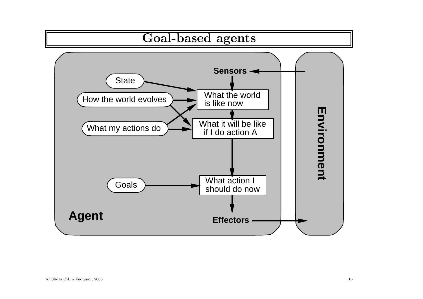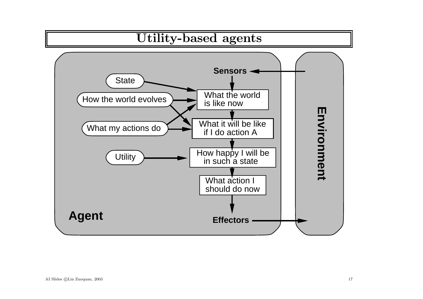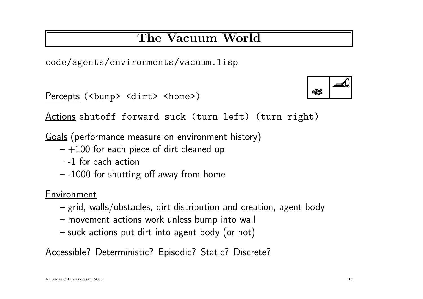## The Vacuum World

code/agents/environments/vacuum.lisp

Percepts (<br/>bump> <dirt> <home>)

Actions shutoff forward suck (turn left) (turn right)

Goals (performance measure on environment history)

- $-+100$  for each piece of dirt cleaned up
- -1 for each action
- $-$  -1000 for shutting off away from home

Environment

- $\,$  grid, walls/obstacles, dirt distribution and creation, agent body
- movement actions work unless bump into wall
- suck actions put dirt into agent body (or not)

Accessible? Deterministic? Episodic? Static? Discrete?